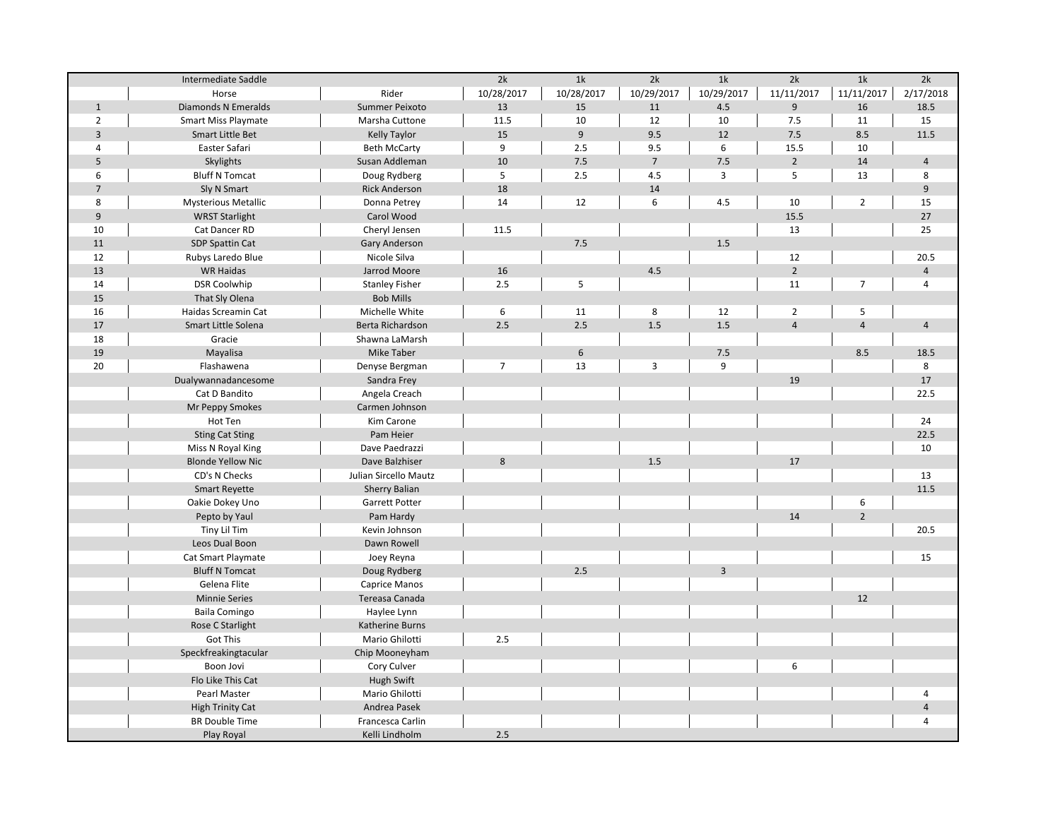|                | Intermediate Saddle        |                       | 2k               | 1k         | 2k             | 1k             | 2k             | 1k             | 2k                      |
|----------------|----------------------------|-----------------------|------------------|------------|----------------|----------------|----------------|----------------|-------------------------|
|                | Horse                      | Rider                 | 10/28/2017       | 10/28/2017 | 10/29/2017     | 10/29/2017     | 11/11/2017     | 11/11/2017     | 2/17/2018               |
| $\mathbf{1}$   | <b>Diamonds N Emeralds</b> | Summer Peixoto        | 13               | 15         | 11             | 4.5            | 9              | 16             | 18.5                    |
| $\overline{2}$ | Smart Miss Playmate        | Marsha Cuttone        | 10<br>11.5<br>12 |            | 10             | 7.5            | 11             | 15             |                         |
| $\overline{3}$ | Smart Little Bet           | Kelly Taylor          | 15               | 9          | 9.5            | 12             | 7.5            | 8.5            | 11.5                    |
| 4              | Easter Safari              | <b>Beth McCarty</b>   | 9                | 2.5        | 9.5            | 6              | 15.5           | 10             |                         |
| 5              | Skylights                  | Susan Addleman        | 10               | 7.5        | $\overline{7}$ | 7.5            | $\overline{2}$ | 14             | $\overline{4}$          |
| 6              | <b>Bluff N Tomcat</b>      | Doug Rydberg          | 5                | 2.5        | 4.5            | $\overline{3}$ | 5              | 13             | 8                       |
| $\overline{7}$ | Sly N Smart                | <b>Rick Anderson</b>  | 18               |            | 14             |                |                |                | 9                       |
| 8              | <b>Mysterious Metallic</b> | Donna Petrey          | 14               | 12         | 6              | 4.5            | 10             | $\overline{2}$ | 15                      |
| 9              | <b>WRST Starlight</b>      | Carol Wood            |                  |            |                |                | 15.5           |                | 27                      |
| 10             | Cat Dancer RD              | Cheryl Jensen         | 11.5             |            |                |                | 13             |                | 25                      |
| 11             | SDP Spattin Cat            | <b>Gary Anderson</b>  |                  | 7.5        |                | 1.5            |                |                |                         |
| 12             | Rubys Laredo Blue          | Nicole Silva          |                  |            |                |                | 12             |                | 20.5                    |
| 13             | <b>WR Haidas</b>           | Jarrod Moore          | 16               |            | 4.5            |                | $\overline{2}$ |                | $\overline{\mathbf{4}}$ |
| 14             | <b>DSR Coolwhip</b>        | <b>Stanley Fisher</b> | 2.5              | 5          |                |                | 11             | $\overline{7}$ | 4                       |
| 15             | That Sly Olena             | <b>Bob Mills</b>      |                  |            |                |                |                |                |                         |
| 16             | Haidas Screamin Cat        | Michelle White        | 6                | 11         | 8              | 12             | $\overline{2}$ | 5              |                         |
| 17             | Smart Little Solena        | Berta Richardson      | 2.5              | 2.5        | 1.5            | 1.5            | $\overline{4}$ | $\overline{4}$ | $\overline{\mathbf{4}}$ |
| 18             | Gracie                     | Shawna LaMarsh        |                  |            |                |                |                |                |                         |
| 19             | Mayalisa                   | <b>Mike Taber</b>     |                  | $\,6\,$    |                | 7.5            |                | 8.5            | 18.5                    |
| 20             | Flashawena                 | Denyse Bergman        | $\overline{7}$   | 13         | 3              | 9              |                |                | 8                       |
|                | Dualywannadancesome        | Sandra Frey           |                  |            |                |                | 19             |                | 17                      |
|                | Cat D Bandito              | Angela Creach         |                  |            |                |                |                |                | 22.5                    |
|                | Mr Peppy Smokes            | Carmen Johnson        |                  |            |                |                |                |                |                         |
|                | Hot Ten                    | Kim Carone            |                  |            |                |                |                |                | 24                      |
|                | <b>Sting Cat Sting</b>     | Pam Heier             |                  |            |                |                |                |                | 22.5                    |
|                | Miss N Royal King          | Dave Paedrazzi        |                  |            |                |                |                |                | 10                      |
|                | <b>Blonde Yellow Nic</b>   | Dave Balzhiser        | 8                |            | 1.5            |                | 17             |                |                         |
|                | CD's N Checks              | Julian Sircello Mautz |                  |            |                |                |                |                | 13                      |
|                | <b>Smart Reyette</b>       | <b>Sherry Balian</b>  |                  |            |                |                |                |                | 11.5                    |
|                | Oakie Dokey Uno            | Garrett Potter        |                  |            |                |                |                | 6              |                         |
|                | Pepto by Yaul              | Pam Hardy             |                  |            |                |                | 14             | $\overline{2}$ |                         |
|                | Tiny Lil Tim               | Kevin Johnson         |                  |            |                |                |                |                | 20.5                    |
|                | Leos Dual Boon             | Dawn Rowell           |                  |            |                |                |                |                |                         |
|                | Cat Smart Playmate         | Joey Reyna            |                  |            |                |                |                |                | 15                      |
|                | <b>Bluff N Tomcat</b>      | Doug Rydberg          |                  | 2.5        |                | $\overline{3}$ |                |                |                         |
|                | Gelena Flite               | Caprice Manos         |                  |            |                |                |                |                |                         |
|                | <b>Minnie Series</b>       | Tereasa Canada        |                  |            |                |                |                | 12             |                         |
|                | Baila Comingo              | Haylee Lynn           |                  |            |                |                |                |                |                         |
|                | Rose C Starlight           | Katherine Burns       |                  |            |                |                |                |                |                         |
|                | Got This                   | Mario Ghilotti        | 2.5              |            |                |                |                |                |                         |
|                | Speckfreakingtacular       | Chip Mooneyham        |                  |            |                |                |                |                |                         |
|                | Boon Jovi                  | Cory Culver           |                  |            |                |                | 6              |                |                         |
|                | Flo Like This Cat          | <b>Hugh Swift</b>     |                  |            |                |                |                |                |                         |
|                | Pearl Master               | Mario Ghilotti        |                  |            |                |                |                |                |                         |
|                | <b>High Trinity Cat</b>    | Andrea Pasek          |                  |            |                |                |                |                |                         |
|                | <b>BR Double Time</b>      | Francesca Carlin      |                  |            |                |                |                |                | 4                       |
|                | Play Royal                 | Kelli Lindholm        | 2.5              |            |                |                |                |                |                         |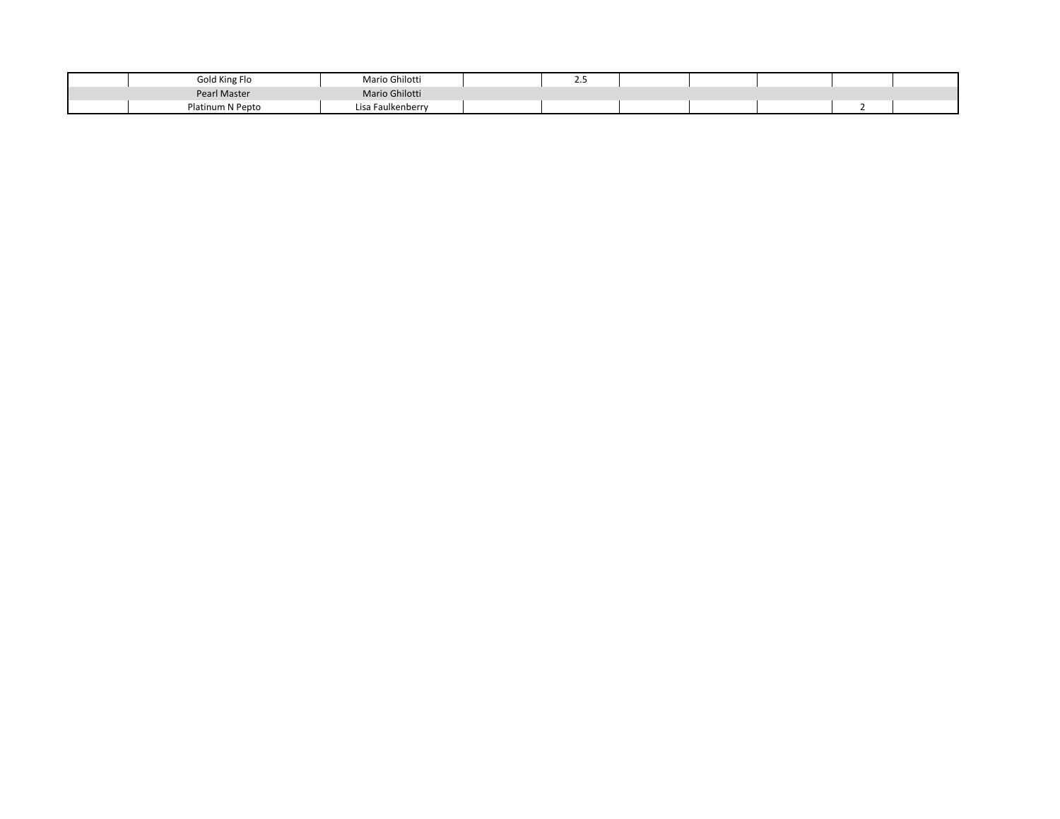| Gold King Flo    | Mario Ghilotti    | ـ |  |  |  |
|------------------|-------------------|---|--|--|--|
| Pearl Master     | Mario Ghilotti    |   |  |  |  |
| Platinum N Pepto | Lisa Faulkenberry |   |  |  |  |